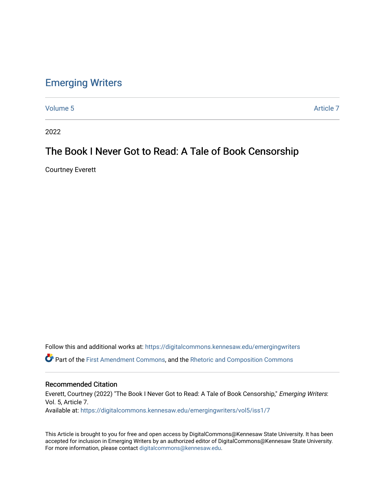## [Emerging Writers](https://digitalcommons.kennesaw.edu/emergingwriters)

[Volume 5](https://digitalcommons.kennesaw.edu/emergingwriters/vol5) Article 7

2022

### The Book I Never Got to Read: A Tale of Book Censorship

Courtney Everett

Follow this and additional works at: [https://digitalcommons.kennesaw.edu/emergingwriters](https://digitalcommons.kennesaw.edu/emergingwriters?utm_source=digitalcommons.kennesaw.edu%2Femergingwriters%2Fvol5%2Fiss1%2F7&utm_medium=PDF&utm_campaign=PDFCoverPages)  Part of the [First Amendment Commons,](http://network.bepress.com/hgg/discipline/1115?utm_source=digitalcommons.kennesaw.edu%2Femergingwriters%2Fvol5%2Fiss1%2F7&utm_medium=PDF&utm_campaign=PDFCoverPages) and the [Rhetoric and Composition Commons](http://network.bepress.com/hgg/discipline/573?utm_source=digitalcommons.kennesaw.edu%2Femergingwriters%2Fvol5%2Fiss1%2F7&utm_medium=PDF&utm_campaign=PDFCoverPages) 

#### Recommended Citation

Everett, Courtney (2022) "The Book I Never Got to Read: A Tale of Book Censorship," Emerging Writers: Vol. 5, Article 7. Available at: [https://digitalcommons.kennesaw.edu/emergingwriters/vol5/iss1/7](https://digitalcommons.kennesaw.edu/emergingwriters/vol5/iss1/7?utm_source=digitalcommons.kennesaw.edu%2Femergingwriters%2Fvol5%2Fiss1%2F7&utm_medium=PDF&utm_campaign=PDFCoverPages) 

This Article is brought to you for free and open access by DigitalCommons@Kennesaw State University. It has been accepted for inclusion in Emerging Writers by an authorized editor of DigitalCommons@Kennesaw State University. For more information, please contact [digitalcommons@kennesaw.edu.](mailto:digitalcommons@kennesaw.edu)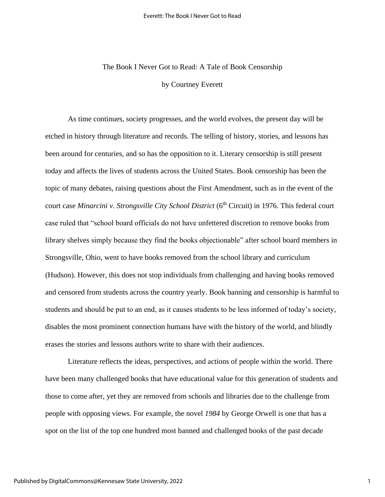# The Book I Never Got to Read: A Tale of Book Censorship

by Courtney Everett

As time continues, society progresses, and the world evolves, the present day will be etched in history through literature and records. The telling of history, stories, and lessons has been around for centuries, and so has the opposition to it. Literary censorship is still present today and affects the lives of students across the United States. Book censorship has been the topic of many debates, raising questions about the First Amendment, such as in the event of the court case *Minarcini v. Strongsville City School District* (6<sup>th</sup> Circuit) in 1976. This federal court case ruled that "school board officials do not have unfettered discretion to remove books from library shelves simply because they find the books objectionable" after school board members in Strongsville, Ohio, went to have books removed from the school library and curriculum (Hudson). However, this does not stop individuals from challenging and having books removed and censored from students across the country yearly. Book banning and censorship is harmful to students and should be put to an end, as it causes students to be less informed of today's society, disables the most prominent connection humans have with the history of the world, and blindly erases the stories and lessons authors write to share with their audiences.

Literature reflects the ideas, perspectives, and actions of people within the world. There have been many challenged books that have educational value for this generation of students and those to come after, yet they are removed from schools and libraries due to the challenge from people with opposing views. For example, the novel *1984* by George Orwell is one that has a spot on the list of the top one hundred most banned and challenged books of the past decade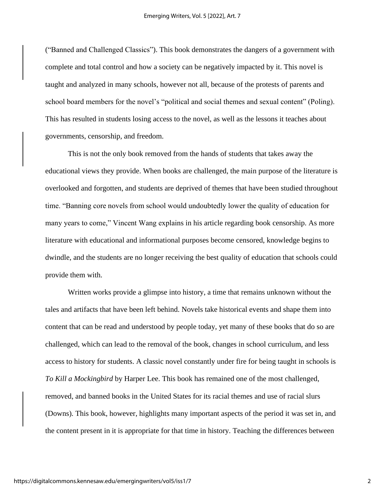("Banned and Challenged Classics"). This book demonstrates the dangers of a government with complete and total control and how a society can be negatively impacted by it. This novel is taught and analyzed in many schools, however not all, because of the protests of parents and school board members for the novel's "political and social themes and sexual content" (Poling). This has resulted in students losing access to the novel, as well as the lessons it teaches about governments, censorship, and freedom.

This is not the only book removed from the hands of students that takes away the educational views they provide. When books are challenged, the main purpose of the literature is overlooked and forgotten, and students are deprived of themes that have been studied throughout time. "Banning core novels from school would undoubtedly lower the quality of education for many years to come," Vincent Wang explains in his article regarding book censorship. As more literature with educational and informational purposes become censored, knowledge begins to dwindle, and the students are no longer receiving the best quality of education that schools could provide them with.

Written works provide a glimpse into history, a time that remains unknown without the tales and artifacts that have been left behind. Novels take historical events and shape them into content that can be read and understood by people today, yet many of these books that do so are challenged, which can lead to the removal of the book, changes in school curriculum, and less access to history for students. A classic novel constantly under fire for being taught in schools is *To Kill a Mockingbird* by Harper Lee. This book has remained one of the most challenged, removed, and banned books in the United States for its racial themes and use of racial slurs (Downs). This book, however, highlights many important aspects of the period it was set in, and the content present in it is appropriate for that time in history. Teaching the differences between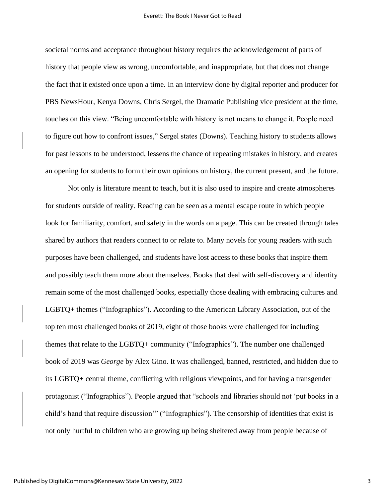societal norms and acceptance throughout history requires the acknowledgement of parts of history that people view as wrong, uncomfortable, and inappropriate, but that does not change the fact that it existed once upon a time. In an interview done by digital reporter and producer for PBS NewsHour, Kenya Downs, Chris Sergel, the Dramatic Publishing vice president at the time, touches on this view. "Being uncomfortable with history is not means to change it. People need to figure out how to confront issues," Sergel states (Downs). Teaching history to students allows for past lessons to be understood, lessens the chance of repeating mistakes in history, and creates an opening for students to form their own opinions on history, the current present, and the future.

Not only is literature meant to teach, but it is also used to inspire and create atmospheres for students outside of reality. Reading can be seen as a mental escape route in which people look for familiarity, comfort, and safety in the words on a page. This can be created through tales shared by authors that readers connect to or relate to. Many novels for young readers with such purposes have been challenged, and students have lost access to these books that inspire them and possibly teach them more about themselves. Books that deal with self-discovery and identity remain some of the most challenged books, especially those dealing with embracing cultures and LGBTQ+ themes ("Infographics"). According to the American Library Association, out of the top ten most challenged books of 2019, eight of those books were challenged for including themes that relate to the LGBTQ+ community ("Infographics"). The number one challenged book of 2019 was *George* by Alex Gino. It was challenged, banned, restricted, and hidden due to its LGBTQ+ central theme, conflicting with religious viewpoints, and for having a transgender protagonist ("Infographics"). People argued that "schools and libraries should not 'put books in a child's hand that require discussion'" ("Infographics"). The censorship of identities that exist is not only hurtful to children who are growing up being sheltered away from people because of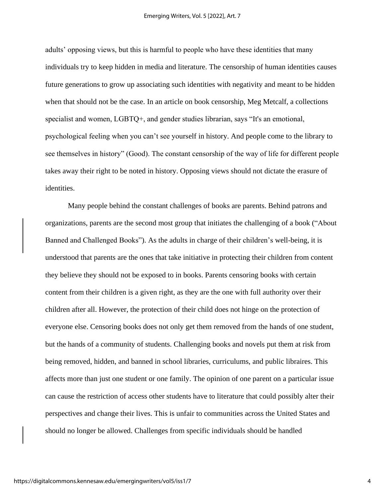adults' opposing views, but this is harmful to people who have these identities that many individuals try to keep hidden in media and literature. The censorship of human identities causes future generations to grow up associating such identities with negativity and meant to be hidden when that should not be the case. In an article on book censorship, Meg Metcalf, a collections specialist and women, LGBTQ+, and gender studies librarian, says "It's an emotional, psychological feeling when you can't see yourself in history. And people come to the library to see themselves in history" (Good). The constant censorship of the way of life for different people takes away their right to be noted in history. Opposing views should not dictate the erasure of identities.

Many people behind the constant challenges of books are parents. Behind patrons and organizations, parents are the second most group that initiates the challenging of a book ("About Banned and Challenged Books"). As the adults in charge of their children's well-being, it is understood that parents are the ones that take initiative in protecting their children from content they believe they should not be exposed to in books. Parents censoring books with certain content from their children is a given right, as they are the one with full authority over their children after all. However, the protection of their child does not hinge on the protection of everyone else. Censoring books does not only get them removed from the hands of one student, but the hands of a community of students. Challenging books and novels put them at risk from being removed, hidden, and banned in school libraries, curriculums, and public libraires. This affects more than just one student or one family. The opinion of one parent on a particular issue can cause the restriction of access other students have to literature that could possibly alter their perspectives and change their lives. This is unfair to communities across the United States and should no longer be allowed. Challenges from specific individuals should be handled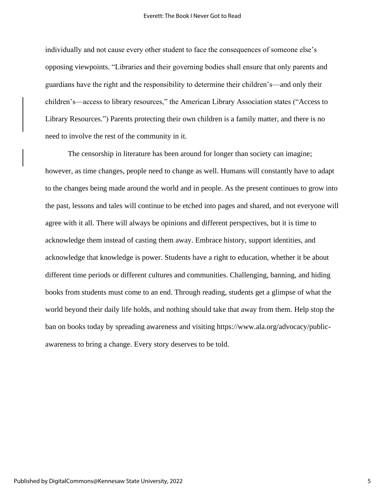individually and not cause every other student to face the consequences of someone else's opposing viewpoints. "Libraries and their governing bodies shall ensure that only parents and guardians have the right and the responsibility to determine their children's—and only their children's—access to library resources," the American Library Association states ("Access to Library Resources.") Parents protecting their own children is a family matter, and there is no need to involve the rest of the community in it.

The censorship in literature has been around for longer than society can imagine; however, as time changes, people need to change as well. Humans will constantly have to adapt to the changes being made around the world and in people. As the present continues to grow into the past, lessons and tales will continue to be etched into pages and shared, and not everyone will agree with it all. There will always be opinions and different perspectives, but it is time to acknowledge them instead of casting them away. Embrace history, support identities, and acknowledge that knowledge is power. Students have a right to education, whether it be about different time periods or different cultures and communities. Challenging, banning, and hiding books from students must come to an end. Through reading, students get a glimpse of what the world beyond their daily life holds, and nothing should take that away from them. Help stop the ban on books today by spreading awareness and visiting https://www.ala.org/advocacy/publicawareness to bring a change. Every story deserves to be told.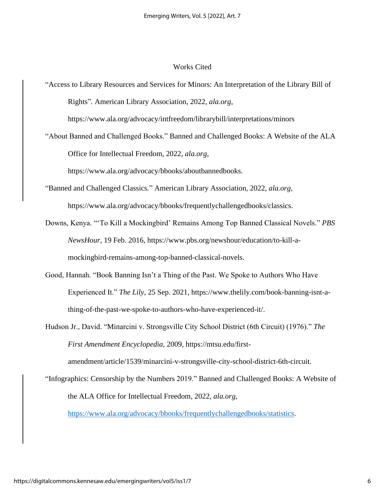#### Works Cited

"Access to Library Resources and Services for Minors: An Interpretation of the Library Bill of Rights"*.* American Library Association, 2022, *ala.org*, https://www.ala.org/advocacy/intfreedom/librarybill/interpretations/minors

"About Banned and Challenged Books." Banned and Challenged Books: A Website of the ALA Office for Intellectual Freedom, 2022, *ala.org*,

https://www.ala.org/advocacy/bbooks/aboutbannedbooks.

"Banned and Challenged Classics*.*" American Library Association, 2022, *ala.org*, https://www.ala.org/advocacy/bbooks/frequentlychallengedbooks/classics.

- Downs, Kenya. "'To Kill a Mockingbird' Remains Among Top Banned Classical Novels." *PBS NewsHour*, 19 Feb. 2016, https://www.pbs.org/newshour/education/to-kill-amockingbird-remains-among-top-banned-classical-novels.
- Good, Hannah. "Book Banning Isn't a Thing of the Past. We Spoke to Authors Who Have Experienced It." *The Lily*, 25 Sep. 2021, https://www.thelily.com/book-banning-isnt-athing-of-the-past-we-spoke-to-authors-who-have-experienced-it/.

Hudson Jr., David. "Minarcini v. Strongsville City School District (6th Circuit) (1976)." *The First Amendment Encyclopedia*, 2009, https://mtsu.edu/firstamendment/article/1539/minarcini-v-strongsville-city-school-district-6th-circuit.

"Infographics: Censorship by the Numbers 2019." Banned and Challenged Books: A Website of the ALA Office for Intellectual Freedom, 2022, *ala.org*, [https://www.ala.org/advocacy/bbooks/frequentlychallengedbooks/statistics.](https://www.ala.org/advocacy/bbooks/frequentlychallengedbooks/statistics)